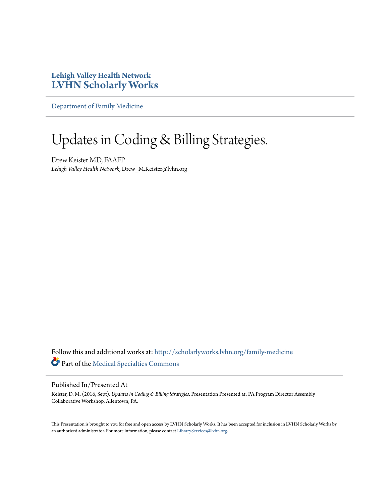#### **Lehigh Valley Health Network [LVHN Scholarly Works](http://scholarlyworks.lvhn.org?utm_source=scholarlyworks.lvhn.org%2Ffamily-medicine%2F438&utm_medium=PDF&utm_campaign=PDFCoverPages)**

[Department of Family Medicine](http://scholarlyworks.lvhn.org/family-medicine?utm_source=scholarlyworks.lvhn.org%2Ffamily-medicine%2F438&utm_medium=PDF&utm_campaign=PDFCoverPages)

#### Updates in Coding & Billing Strategies.

Drew Keister MD, FAAFP *Lehigh Valley Health Network*, Drew\_M.Keister@lvhn.org

Follow this and additional works at: [http://scholarlyworks.lvhn.org/family-medicine](http://scholarlyworks.lvhn.org/family-medicine?utm_source=scholarlyworks.lvhn.org%2Ffamily-medicine%2F438&utm_medium=PDF&utm_campaign=PDFCoverPages) Part of the [Medical Specialties Commons](http://network.bepress.com/hgg/discipline/680?utm_source=scholarlyworks.lvhn.org%2Ffamily-medicine%2F438&utm_medium=PDF&utm_campaign=PDFCoverPages)

#### Published In/Presented At

Keister, D. M. (2016, Sept). *Updates in Coding & Billing Strategies*. Presentation Presented at: PA Program Director Assembly Collaborative Workshop, Allentown, PA.

This Presentation is brought to you for free and open access by LVHN Scholarly Works. It has been accepted for inclusion in LVHN Scholarly Works by an authorized administrator. For more information, please contact [LibraryServices@lvhn.org](mailto:LibraryServices@lvhn.org).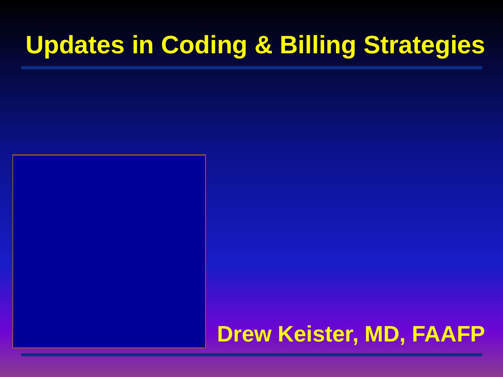### **Updates in Coding & Billing Strategies**

#### **Drew Keister, MD, FAAFP**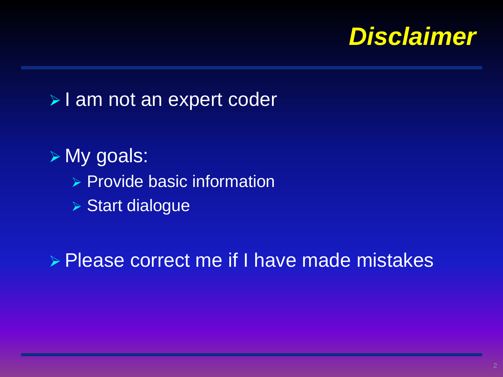

#### > I am not an expert coder

 My goals:  $\triangleright$  Provide basic information Start dialogue

**▶ Please correct me if I have made mistakes**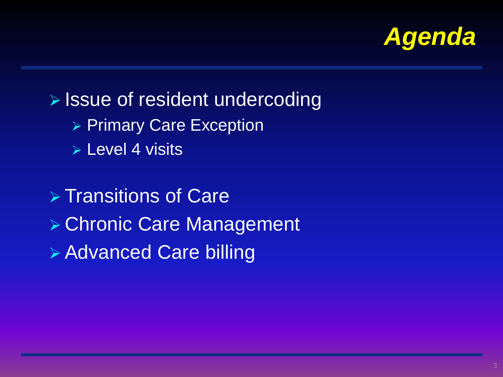

 $\triangleright$  Issue of resident undercoding ▶ Primary Care Exception **▶ Level 4 visits > Transitions of Care**  Chronic Care Management Advanced Care billing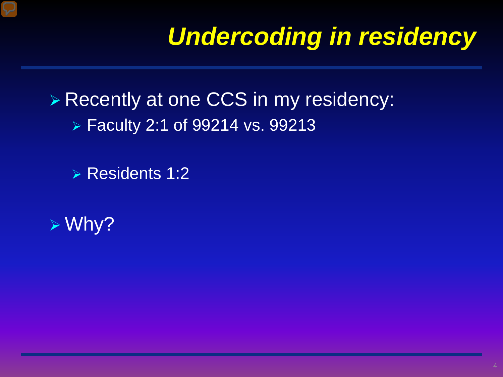# *Undercoding in residency*

**▶ Recently at one CCS in my residency:** Faculty 2:1 of 99214 vs. 99213

 $\triangleright$  Residents 1:2

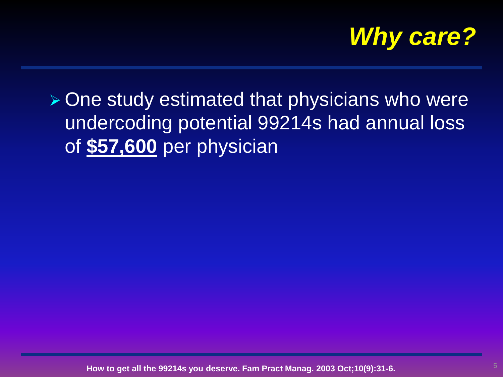

 $\triangleright$  One study estimated that physicians who were undercoding potential 99214s had annual loss of **\$57,600** per physician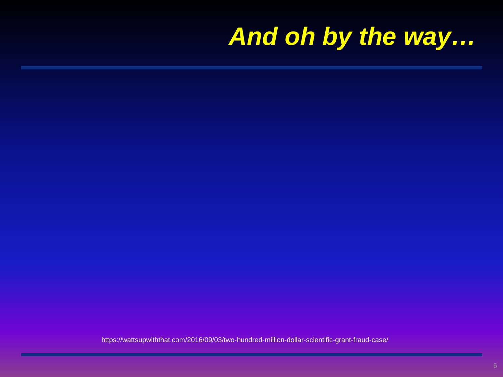# *And oh by the way…*

https://wattsupwiththat.com/2016/09/03/two-hundred-million-dollar-scientific-grant-fraud-case/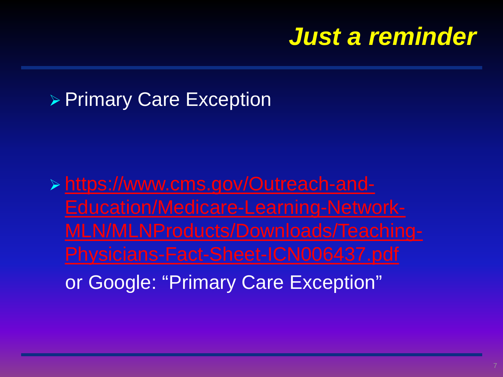### *Just a reminder*

#### ▶ Primary Care Exception

 https://www.cms.gov/Outreach-and-Education/Medicare-Learning-Network-[MLN/MLNProducts/Downloads/Teaching](https://www.cms.gov/Outreach-and-Education/Medicare-Learning-Network-MLN/MLNProducts/Downloads/Teaching-Physicians-Fact-Sheet-ICN006437.pdf)or Google: "Primary Care Exception"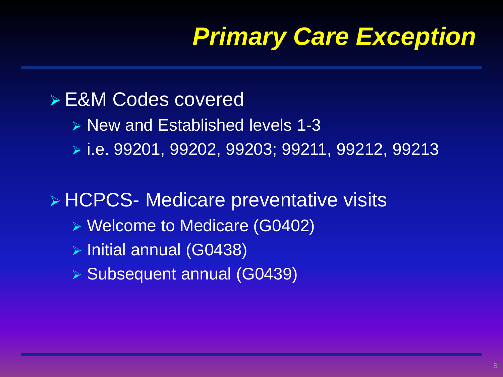# *Primary Care Exception*

#### E&M Codes covered

- $\triangleright$  New and Established levels 1-3
- i.e. 99201, 99202, 99203; 99211, 99212, 99213

**▶ HCPCS- Medicare preventative visits** 

- Welcome to Medicare (G0402)
- $\triangleright$  Initial annual (G0438)
- Subsequent annual (G0439)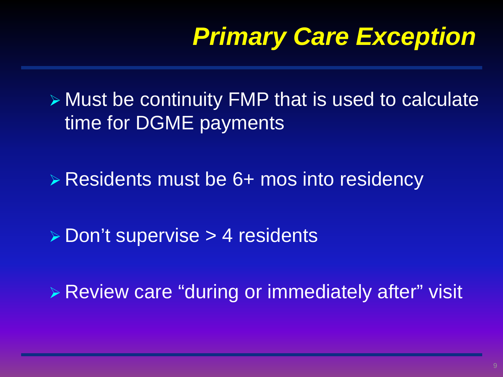# *Primary Care Exception*

 Must be continuity FMP that is used to calculate time for DGME payments

**Example 1 × Residents must be 6+ mos into residency** 

**Don't supervise > 4 residents** 

Review care "during or immediately after" visit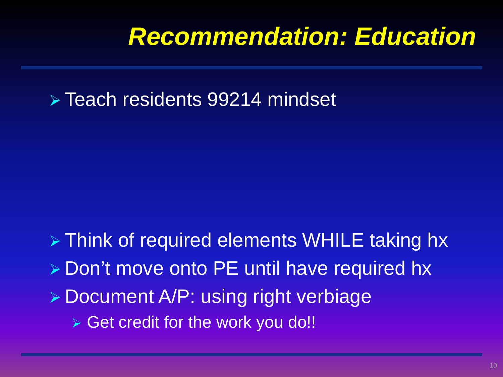### *Recommendation: Education*

Teach residents 99214 mindset

> Think of required elements WHILE taking hx **▶ Don't move onto PE until have required hx Document A/P: using right verbiage**  $\triangleright$  Get credit for the work you do!!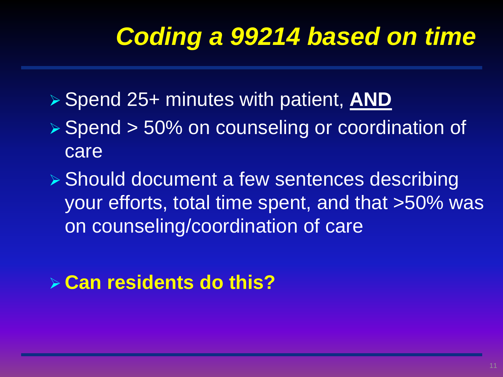# *Coding a 99214 based on time*

- Spend 25+ minutes with patient, **AND**
- ▶ Spend > 50% on counseling or coordination of care
- Should document a few sentences describing your efforts, total time spent, and that >50% was on counseling/coordination of care

#### **Can residents do this?**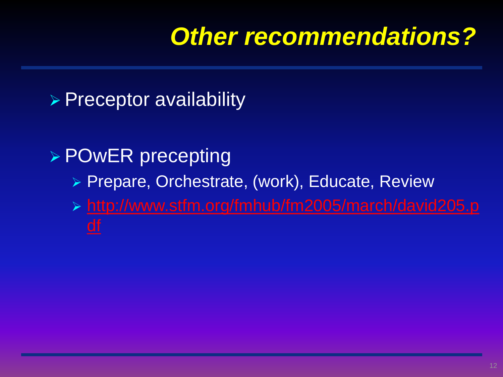### *Other recommendations?*

#### **Preceptor availability**

#### ▶ POwER precepting

- ▶ Prepare, Orchestrate, (work), Educate, Review
- [http://www.stfm.org/fmhub/fm2005/march/david205.p](http://www.stfm.org/fmhub/fm2005/march/david205.pdf) df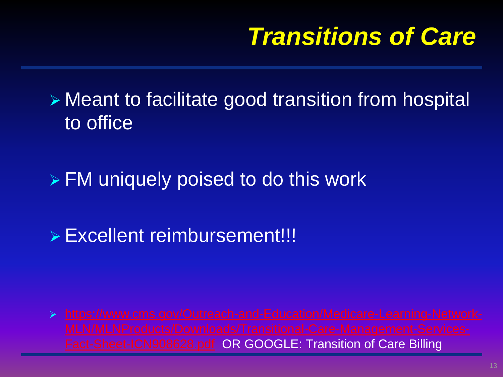### *Transitions of Care*

 Meant to facilitate good transition from hospital to office

FM uniquely poised to do this work

Excellent reimbursement!!!

 [https://www.cms.gov/Outreach-and-Education/Medicare-Learning-Network-](https://www.cms.gov/Outreach-and-Education/Medicare-Learning-Network-MLN/MLNProducts/Downloads/Transitional-Care-Management-Services-Fact-Sheet-ICN908628.pdf)Fact-Sheet-ICN908628.pdf OR GOOGLE: Transition of Care Billing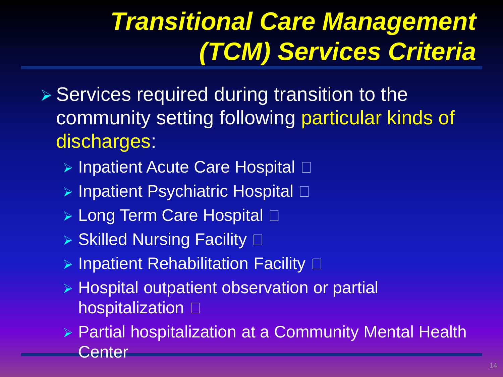# *Transitional Care Management (TCM) Services Criteria*

- $\triangleright$  Services required during transition to the community setting following particular kinds of discharges:
	- $\triangleright$  Inpatient Acute Care Hospital  $\Box$
	- $\triangleright$  Inpatient Psychiatric Hospital  $\Box$
	- ▶ Long Term Care Hospital □
	- $\triangleright$  Skilled Nursing Facility  $\square$
	- $\triangleright$  Inpatient Rehabilitation Facility  $\square$
	- ▶ Hospital outpatient observation or partial hospitalization  $\square$
	- Partial hospitalization at a Community Mental Health Center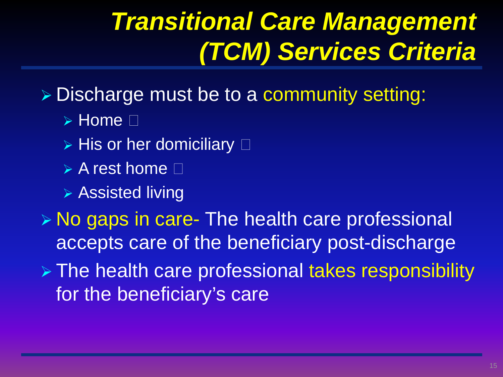# *Transitional Care Management (TCM) Services Criteria*

Discharge must be to a community setting:

- $\triangleright$  Home  $\Box$
- $\triangleright$  His or her domiciliary  $\square$
- $\triangleright$  A rest home  $\square$
- Assisted living

**► No gaps in care- The health care professional** accepts care of the beneficiary post-discharge The health care professional takes responsibility for the beneficiary's care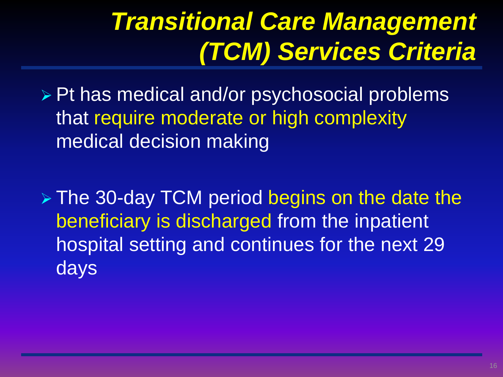# *Transitional Care Management (TCM) Services Criteria*

▶ Pt has medical and/or psychosocial problems that require moderate or high complexity medical decision making

 The 30-day TCM period begins on the date the beneficiary is discharged from the inpatient hospital setting and continues for the next 29 days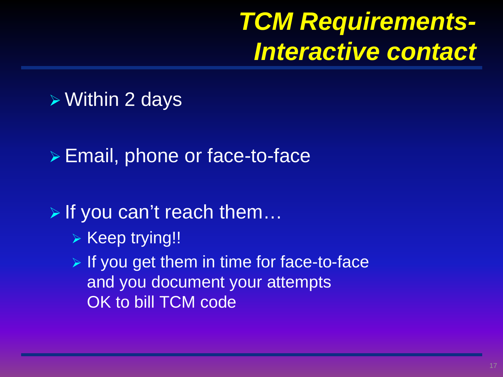### *TCM Requirements-Interactive contact*

#### Within 2 days

Email, phone or face-to-face

▶ If you can't reach them...

- ▶ Keep trying!!
- $\triangleright$  If you get them in time for face-to-face and you document your attempts OK to bill TCM code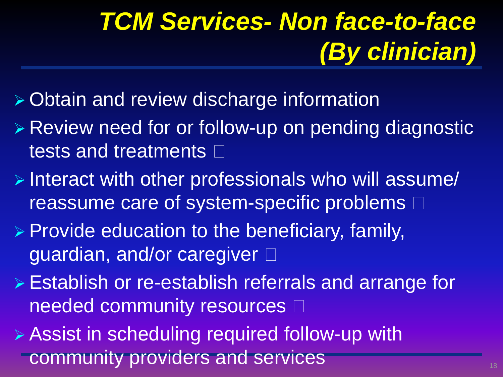# *TCM Services- Non face-to-face (By clinician)*

- Obtain and review discharge information
- Review need for or follow-up on pending diagnostic tests and treatments  $\square$
- Interact with other professionals who will assume/ reassume care of system-specific problems  $\Box$
- $\triangleright$  Provide education to the beneficiary, family, guardian, and/or caregiver
- Establish or re-establish referrals and arrange for needed community resources  $\Box$
- **Assist in scheduling required follow-up with** community providers and services **1899 Services**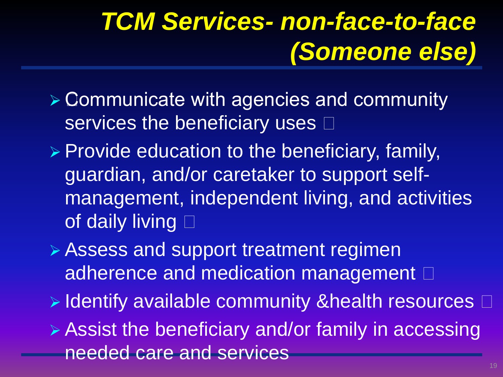# *TCM Services- non-face-to-face (Someone else)*

- Communicate with agencies and community services the beneficiary uses  $\square$
- $\triangleright$  Provide education to the beneficiary, family, guardian, and/or caretaker to support selfmanagement, independent living, and activities of daily living  $\Box$
- Assess and support treatment regimen adherence and medication management  $\Box$
- $\triangleright$  Identify available community &health resources  $\Box$
- Assist the beneficiary and/or family in accessing needed care and services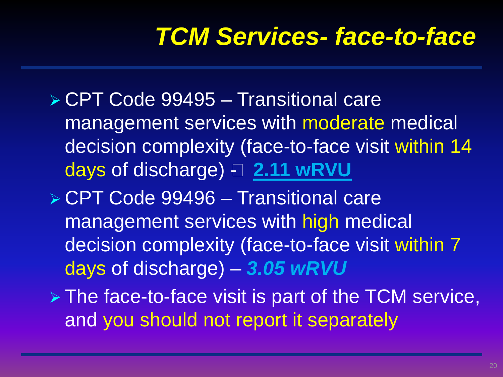### *TCM Services- face-to-face*

- CPT Code 99495 Transitional care management services with moderate medical decision complexity (face-to-face visit within 14 days of discharge)  $\boxdot$  **2.11 wRVU**
- ▶ CPT Code 99496 Transitional care management services with high medical decision complexity (face-to-face visit within 7 days of discharge) – *3.05 wRVU*
- $\triangleright$  The face-to-face visit is part of the TCM service, and you should not report it separately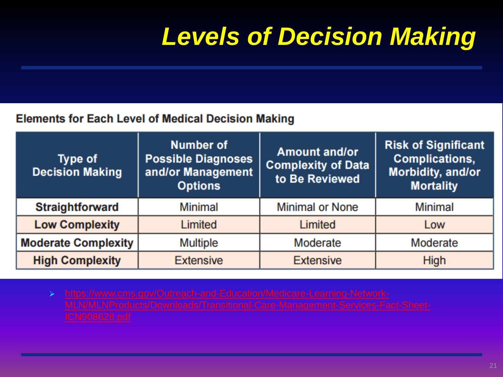# *Levels of Decision Making*

#### **Elements for Each Level of Medical Decision Making**

| Type of<br><b>Decision Making</b> | <b>Number of</b><br><b>Possible Diagnoses</b><br>and/or Management<br><b>Options</b> | <b>Amount and/or</b><br><b>Complexity of Data</b><br>to Be Reviewed | <b>Risk of Significant</b><br><b>Complications,</b><br>Morbidity, and/or<br><b>Mortality</b> |
|-----------------------------------|--------------------------------------------------------------------------------------|---------------------------------------------------------------------|----------------------------------------------------------------------------------------------|
| <b>Straightforward</b>            | <b>Minimal</b>                                                                       | <b>Minimal or None</b>                                              | <b>Minimal</b>                                                                               |
| <b>Low Complexity</b>             | Limited                                                                              | Limited                                                             | Low                                                                                          |
| <b>Moderate Complexity</b>        | <b>Multiple</b>                                                                      | <b>Moderate</b>                                                     | <b>Moderate</b>                                                                              |
| <b>High Complexity</b>            | <b>Extensive</b>                                                                     | <b>Extensive</b>                                                    | <b>High</b>                                                                                  |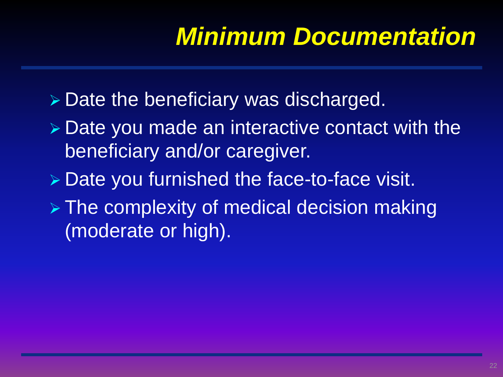# *Minimum Documentation*

- $\triangleright$  Date the beneficiary was discharged.
- **▶ Date you made an interactive contact with the** beneficiary and/or caregiver.
- Date you furnished the face-to-face visit.
- $\triangleright$  The complexity of medical decision making (moderate or high).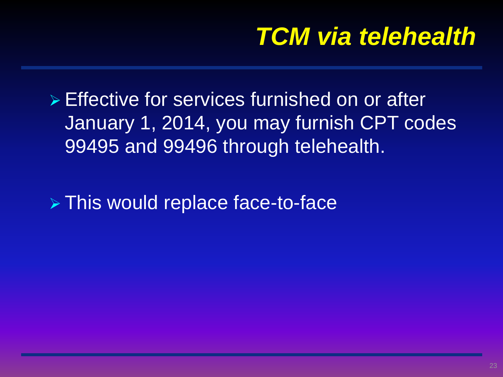### *TCM via telehealth*

**Effective for services furnished on or after** January 1, 2014, you may furnish CPT codes 99495 and 99496 through telehealth.

This would replace face-to-face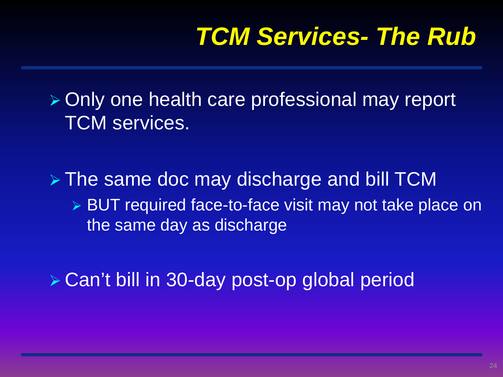### *TCM Services- The Rub*

 Only one health care professional may report TCM services.

> The same doc may discharge and bill TCM ▶ BUT required face-to-face visit may not take place on the same day as discharge

▶ Can't bill in 30-day post-op global period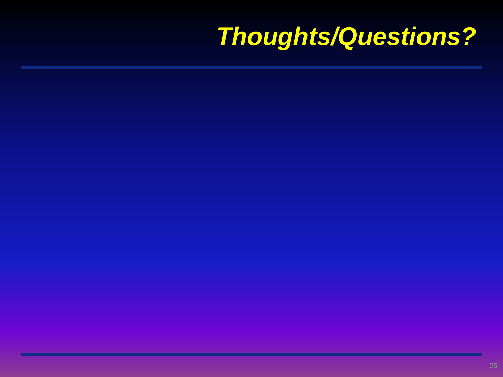# *Thoughts/Questions?*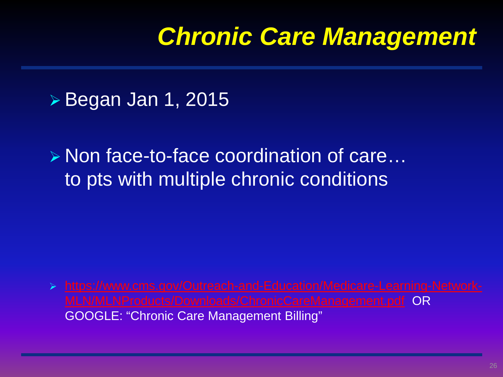### *Chronic Care Management*

**▶ Began Jan 1, 2015** 

**► Non face-to-face coordination of care…** to pts with multiple chronic conditions

 [https://www.cms.gov/Outreach-and-Education/Medicare-Learning-Network-](https://www.cms.gov/Outreach-and-Education/Medicare-Learning-Network-MLN/MLNProducts/Downloads/ChronicCareManagement.pdf)MLN/MLNProducts/Downloads/ChronicCareManagement.pdf OR GOOGLE: "Chronic Care Management Billing"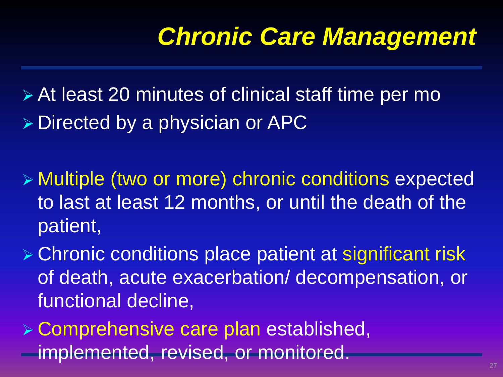### *Chronic Care Management*

 At least 20 minutes of clinical staff time per mo  $\triangleright$  Directed by a physician or APC

- Multiple (two or more) chronic conditions expected to last at least 12 months, or until the death of the patient,
- Chronic conditions place patient at significant risk of death, acute exacerbation/ decompensation, or functional decline,
- Comprehensive care plan established, implemented, revised, or monitored.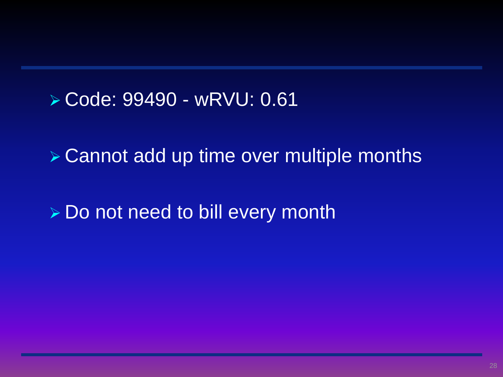#### Code: 99490 - wRVU: 0.61

Cannot add up time over multiple months

▶ Do not need to bill every month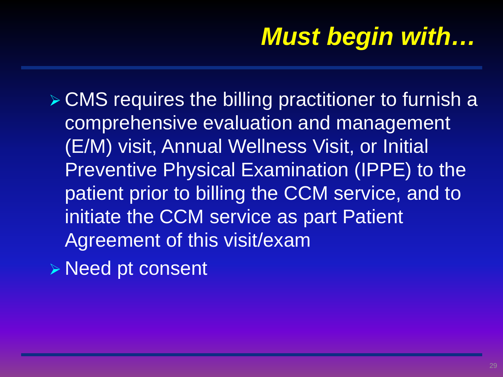# *Must begin with…*

- CMS requires the billing practitioner to furnish a comprehensive evaluation and management (E/M) visit, Annual Wellness Visit, or Initial Preventive Physical Examination (IPPE) to the patient prior to billing the CCM service, and to initiate the CCM service as part Patient Agreement of this visit/exam
- Need pt consent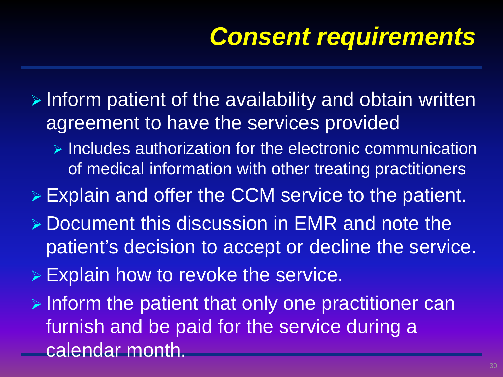# *Consent requirements*

 $\triangleright$  Inform patient of the availability and obtain written agreement to have the services provided

 $\triangleright$  Includes authorization for the electronic communication of medical information with other treating practitioners

Explain and offer the CCM service to the patient.

- ▶ Document this discussion in EMR and note the patient's decision to accept or decline the service.
- Explain how to revoke the service.
- $\triangleright$  Inform the patient that only one practitioner can furnish and be paid for the service during a calendar month.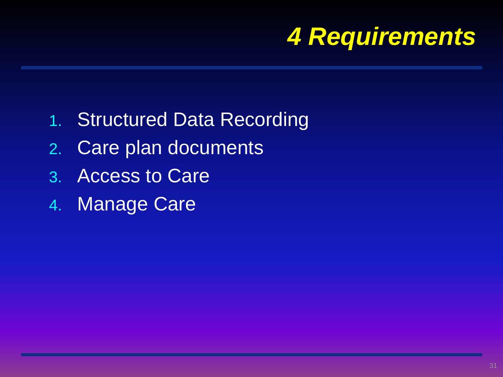

- 1. Structured Data Recording
- 2. Care plan documents
- 3. Access to Care
- 4. Manage Care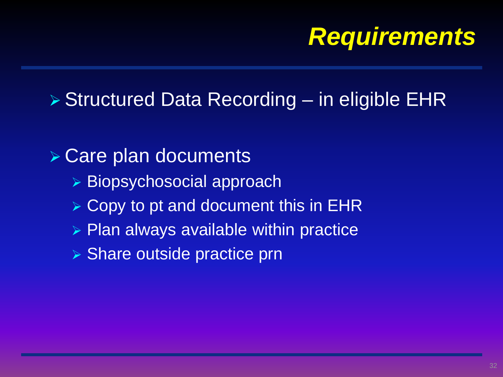### *Requirements*

#### ▶ Structured Data Recording – in eligible EHR

#### **▶ Care plan documents**

- ▶ Biopsychosocial approach
- $\triangleright$  Copy to pt and document this in EHR
- $\triangleright$  Plan always available within practice
- ▶ Share outside practice prn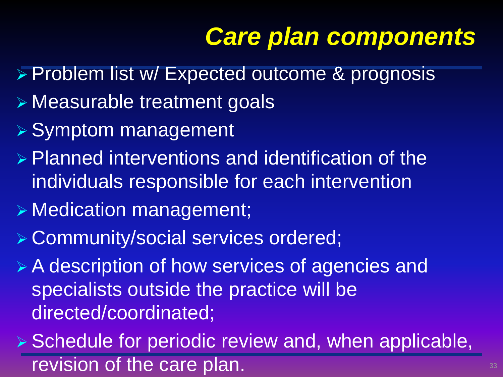# *Care plan components*

- > Problem list w/ Expected outcome & prognosis
- Measurable treatment goals
- **▶ Symptom management**
- **Planned interventions and identification of the** individuals responsible for each intervention
- Medication management;
- Community/social services ordered;
- A description of how services of agencies and specialists outside the practice will be directed/coordinated;
- $\triangleright$  Schedule for periodic review and, when applicable, revision of the care plan. The state of the care plan.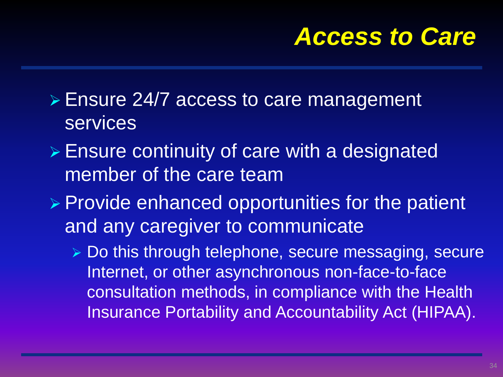#### *Access to Care*

- Ensure 24/7 access to care management services
- **Ensure continuity of care with a designated** member of the care team
- $\triangleright$  Provide enhanced opportunities for the patient and any caregiver to communicate
	- Do this through telephone, secure messaging, secure Internet, or other asynchronous non-face-to-face consultation methods, in compliance with the Health Insurance Portability and Accountability Act (HIPAA).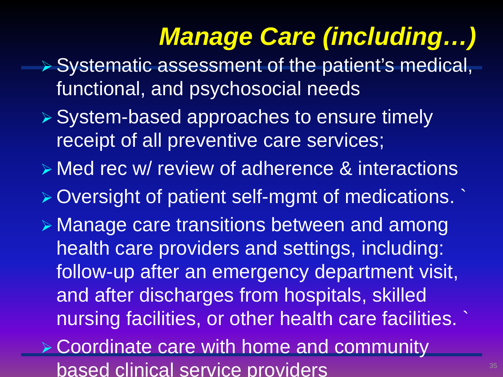# *Manage Care (including…)*

- ▶ Systematic assessment of the patient's medical, functional, and psychosocial needs
- **▶ System-based approaches to ensure timely** receipt of all preventive care services;
- **Example 2 and 1 A view of adherence & interactions**
- Oversight of patient self-mgmt of medications. `
- Manage care transitions between and among health care providers and settings, including: follow-up after an emergency department visit, and after discharges from hospitals, skilled nursing facilities, or other health care facilities. `
- Coordinate care with home and community based clinical service providers **35**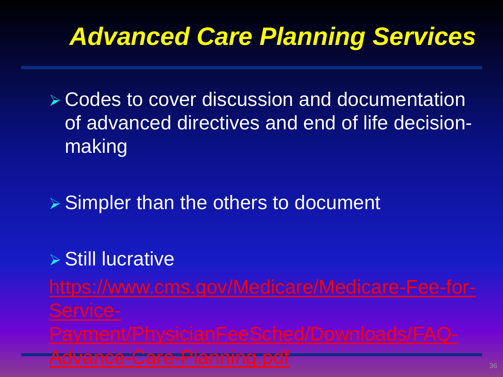# *Advanced Care Planning Services*

 Codes to cover discussion and documentation of advanced directives and end of life decisionmaking

 $\triangleright$  Simpler than the others to document

#### **▶ Still lucrative**

Advance-Care-Planning.pdf **366 Advance-Care-Planning.pdf**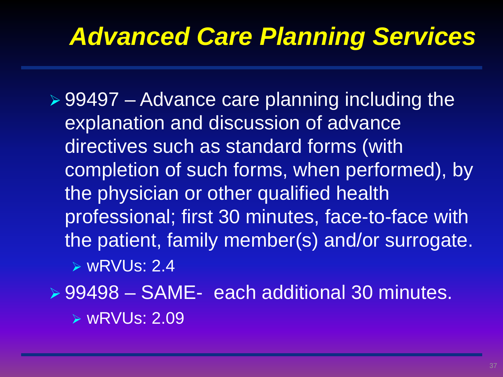### *Advanced Care Planning Services*

 $\geq 99497$  – Advance care planning including the explanation and discussion of advance directives such as standard forms (with completion of such forms, when performed), by the physician or other qualified health professional; first 30 minutes, face-to-face with the patient, family member(s) and/or surrogate. wRVUs: 2.4

99498 – SAME- each additional 30 minutes.

wRVUs: 2.09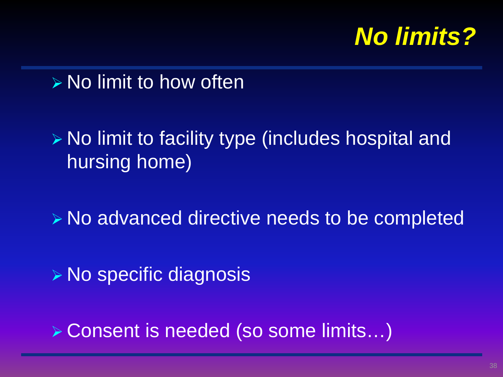

 $\triangleright$  No limit to how often

 $\triangleright$  No limit to facility type (includes hospital and hursing home)

No advanced directive needs to be completed

**▶ No specific diagnosis** 

Consent is needed (so some limits…)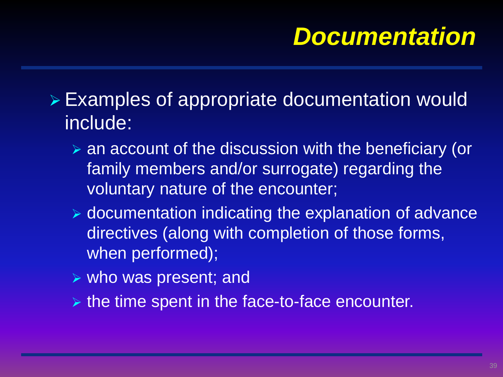### *Documentation*

 Examples of appropriate documentation would include:

- an account of the discussion with the beneficiary (or family members and/or surrogate) regarding the voluntary nature of the encounter;
- documentation indicating the explanation of advance directives (along with completion of those forms, when performed);
- $\triangleright$  who was present; and
- $\triangleright$  the time spent in the face-to-face encounter.